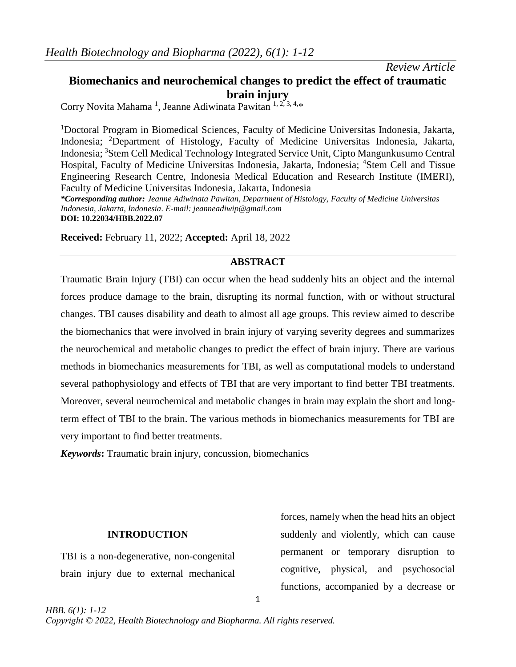#### *Review Article*

## **Biomechanics and neurochemical changes to predict the effect of traumatic brain injury**

Corry Novita Mahama<sup>1</sup>, Jeanne Adiwinata Pawitan <sup>1, 2, 3, 4,\*</sup>

<sup>1</sup>Doctoral Program in Biomedical Sciences, Faculty of Medicine Universitas Indonesia, Jakarta, Indonesia; <sup>2</sup>Department of Histology, Faculty of Medicine Universitas Indonesia, Jakarta, Indonesia; <sup>3</sup>Stem Cell Medical Technology Integrated Service Unit, Cipto Mangunkusumo Central Hospital, Faculty of Medicine Universitas Indonesia, Jakarta, Indonesia; <sup>4</sup>Stem Cell and Tissue Engineering Research Centre, Indonesia Medical Education and Research Institute (IMERI), Faculty of Medicine Universitas Indonesia, Jakarta, Indonesia

*\*Corresponding author: Jeanne Adiwinata Pawitan, Department of Histology, Faculty of Medicine Universitas Indonesia, Jakarta, Indonesia. E-mail: [jeanneadiwip@gmail.com](mailto:jeanneadiwip@gmail.com)* **DOI: 10.22034/HBB.2022.07**

**Received:** February 11, 2022; **Accepted:** April 18, 2022

### **ABSTRACT**

Traumatic Brain Injury (TBI) can occur when the head suddenly hits an object and the internal forces produce damage to the brain, disrupting its normal function, with or without structural changes. TBI causes disability and death to almost all age groups. This review aimed to describe the biomechanics that were involved in brain injury of varying severity degrees and summarizes the neurochemical and metabolic changes to predict the effect of brain injury. There are various methods in biomechanics measurements for TBI, as well as computational models to understand several pathophysiology and effects of TBI that are very important to find better TBI treatments. Moreover, several neurochemical and metabolic changes in brain may explain the short and longterm effect of TBI to the brain. The various methods in biomechanics measurements for TBI are very important to find better treatments.

1

*Keywords***:** Traumatic brain injury, concussion, biomechanics

### **INTRODUCTION**

TBI is a non-degenerative, non-congenital brain injury due to external mechanical forces, namely when the head hits an object suddenly and violently, which can cause permanent or temporary disruption to cognitive, physical, and psychosocial functions, accompanied by a decrease or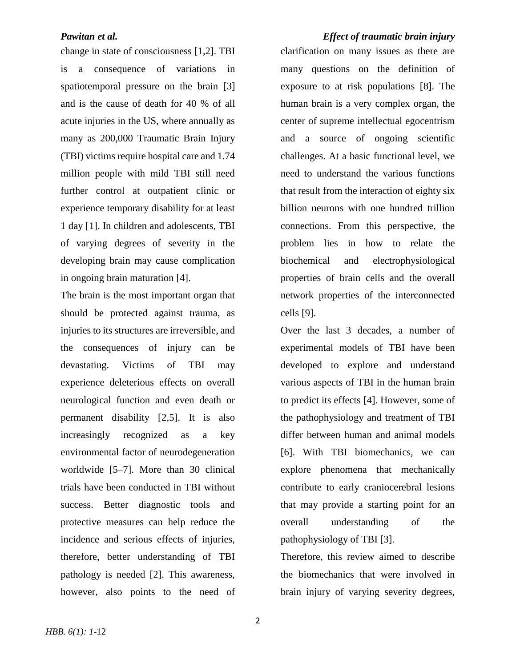change in state of consciousness [1,2]. TBI is a consequence of variations in spatiotemporal pressure on the brain [3] and is the cause of death for 40 % of all acute injuries in the US, where annually as many as 200,000 Traumatic Brain Injury (TBI) victims require hospital care and 1.74 million people with mild TBI still need further control at outpatient clinic or experience temporary disability for at least 1 day [1]. In children and adolescents, TBI of varying degrees of severity in the developing brain may cause complication in ongoing brain maturation [4].

The brain is the most important organ that should be protected against trauma, as injuries to its structures are irreversible, and the consequences of injury can be devastating. Victims of TBI may experience deleterious effects on overall neurological function and even death or permanent disability [2,5]. It is also increasingly recognized as a key environmental factor of neurodegeneration worldwide [5–7]. More than 30 clinical trials have been conducted in TBI without success. Better diagnostic tools and protective measures can help reduce the incidence and serious effects of injuries, therefore, better understanding of TBI pathology is needed [2]. This awareness, however, also points to the need of

*HBB. 6(1): 1*-12

# *Pawitan et al. Effect of traumatic brain injury* clarification on many issues as there are many questions on the definition of exposure to at risk populations [8]. The human brain is a very complex organ, the center of supreme intellectual egocentrism and a source of ongoing scientific challenges. At a basic functional level, we need to understand the various functions that result from the interaction of eighty six billion neurons with one hundred trillion connections. From this perspective, the problem lies in how to relate the biochemical and electrophysiological properties of brain cells and the overall network properties of the interconnected

Over the last 3 decades, a number of experimental models of TBI have been developed to explore and understand various aspects of TBI in the human brain to predict its effects [4]. However, some of the pathophysiology and treatment of TBI differ between human and animal models [6]. With TBI biomechanics, we can explore phenomena that mechanically contribute to early craniocerebral lesions that may provide a starting point for an overall understanding of the pathophysiology of TBI [3].

cells [9].

Therefore, this review aimed to describe the biomechanics that were involved in brain injury of varying severity degrees,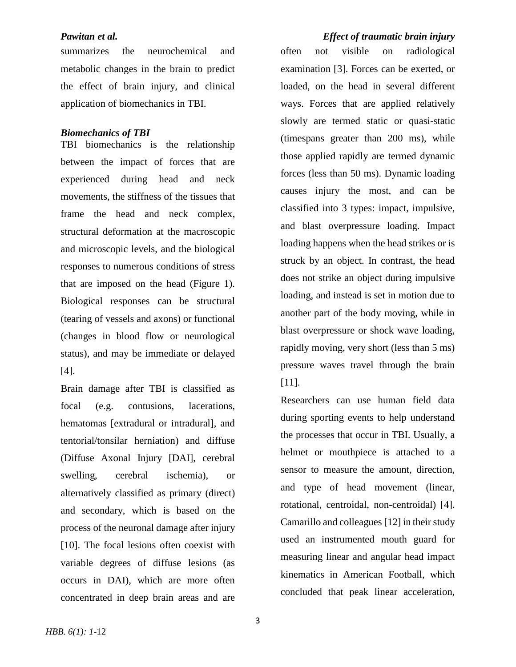summarizes the neurochemical and metabolic changes in the brain to predict the effect of brain injury, and clinical application of biomechanics in TBI.

#### *Biomechanics of TBI*

TBI biomechanics is the relationship between the impact of forces that are experienced during head and neck movements, the stiffness of the tissues that frame the head and neck complex, structural deformation at the macroscopic and microscopic levels, and the biological responses to numerous conditions of stress that are imposed on the head (Figure 1). Biological responses can be structural (tearing of vessels and axons) or functional (changes in blood flow or neurological status), and may be immediate or delayed [4].

Brain damage after TBI is classified as focal (e.g. contusions, lacerations, hematomas [extradural or intradural], and tentorial/tonsilar herniation) and diffuse (Diffuse Axonal Injury [DAI], cerebral swelling, cerebral ischemia), or alternatively classified as primary (direct) and secondary, which is based on the process of the neuronal damage after injury [10]. The focal lesions often coexist with variable degrees of diffuse lesions (as occurs in DAI), which are more often concentrated in deep brain areas and are

### *Pawitan et al. Effect of traumatic brain injury*

often not visible on radiological examination [3]. Forces can be exerted, or loaded, on the head in several different ways. Forces that are applied relatively slowly are termed static or quasi-static (timespans greater than 200 ms), while those applied rapidly are termed dynamic forces (less than 50 ms). Dynamic loading causes injury the most, and can be classified into 3 types: impact, impulsive, and blast overpressure loading. Impact loading happens when the head strikes or is struck by an object. In contrast, the head does not strike an object during impulsive loading, and instead is set in motion due to another part of the body moving, while in blast overpressure or shock wave loading, rapidly moving, very short (less than 5 ms) pressure waves travel through the brain [11].

Researchers can use human field data during sporting events to help understand the processes that occur in TBI. Usually, a helmet or mouthpiece is attached to a sensor to measure the amount, direction, and type of head movement (linear, rotational, centroidal, non-centroidal) [4]. Camarillo and colleagues [12] in their study used an instrumented mouth guard for measuring linear and angular head impact kinematics in American Football, which concluded that peak linear acceleration,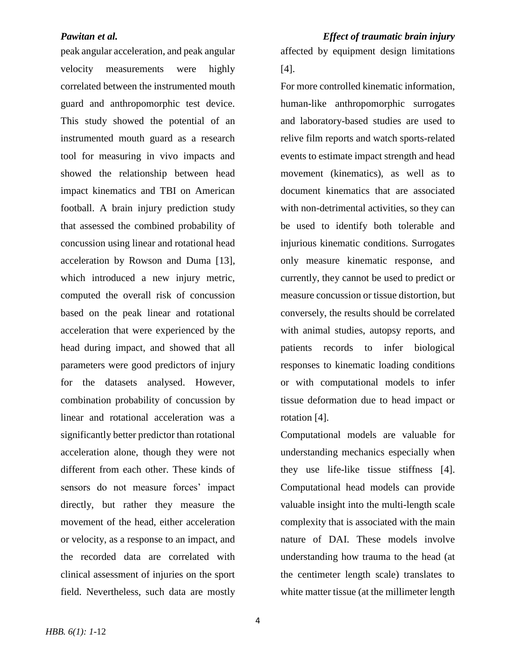peak angular acceleration, and peak angular velocity measurements were highly correlated between the instrumented mouth guard and anthropomorphic test device. This study showed the potential of an instrumented mouth guard as a research tool for measuring in vivo impacts and showed the relationship between head impact kinematics and TBI on American football. A brain injury prediction study that assessed the combined probability of concussion using linear and rotational head acceleration by Rowson and Duma [13], which introduced a new injury metric, computed the overall risk of concussion based on the peak linear and rotational acceleration that were experienced by the head during impact, and showed that all parameters were good predictors of injury for the datasets analysed. However, combination probability of concussion by linear and rotational acceleration was a significantly better predictor than rotational acceleration alone, though they were not different from each other. These kinds of sensors do not measure forces' impact directly, but rather they measure the movement of the head, either acceleration or velocity, as a response to an impact, and the recorded data are correlated with clinical assessment of injuries on the sport field. Nevertheless, such data are mostly

*HBB. 6(1): 1*-12

*Pawitan et al. Effect of traumatic brain injury* affected by equipment design limitations [4].

> For more controlled kinematic information, human-like anthropomorphic surrogates and laboratory-based studies are used to relive film reports and watch sports-related events to estimate impact strength and head movement (kinematics), as well as to document kinematics that are associated with non-detrimental activities, so they can be used to identify both tolerable and injurious kinematic conditions. Surrogates only measure kinematic response, and currently, they cannot be used to predict or measure concussion or tissue distortion, but conversely, the results should be correlated with animal studies, autopsy reports, and patients records to infer biological responses to kinematic loading conditions or with computational models to infer tissue deformation due to head impact or rotation [4].

> Computational models are valuable for understanding mechanics especially when they use life-like tissue stiffness [4]. Computational head models can provide valuable insight into the multi-length scale complexity that is associated with the main nature of DAI. These models involve understanding how trauma to the head (at the centimeter length scale) translates to white matter tissue (at the millimeter length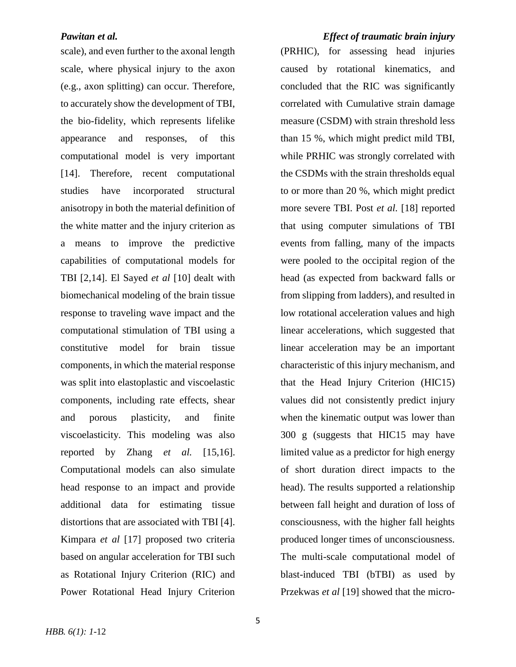### *Pawitan et al. Effect of traumatic brain injury*

scale), and even further to the axonal length scale, where physical injury to the axon (e.g., axon splitting) can occur. Therefore, to accurately show the development of TBI, the bio-fidelity, which represents lifelike appearance and responses, of this computational model is very important [14]. Therefore, recent computational studies have incorporated structural anisotropy in both the material definition of the white matter and the injury criterion as a means to improve the predictive capabilities of computational models for TBI [2,14]. El Sayed *et al* [10] dealt with biomechanical modeling of the brain tissue response to traveling wave impact and the computational stimulation of TBI using a constitutive model for brain tissue components, in which the material response was split into elastoplastic and viscoelastic components, including rate effects, shear and porous plasticity, and finite viscoelasticity. This modeling was also reported by Zhang *et al.* [15,16]. Computational models can also simulate head response to an impact and provide additional data for estimating tissue distortions that are associated with TBI [4]. Kimpara *et al* [17] proposed two criteria based on angular acceleration for TBI such as Rotational Injury Criterion (RIC) and Power Rotational Head Injury Criterion

(PRHIC), for assessing head injuries caused by rotational kinematics, and concluded that the RIC was significantly correlated with Cumulative strain damage measure (CSDM) with strain threshold less than 15 %, which might predict mild TBI, while PRHIC was strongly correlated with the CSDMs with the strain thresholds equal to or more than 20 %, which might predict more severe TBI. Post *et al.* [18] reported that using computer simulations of TBI events from falling, many of the impacts were pooled to the occipital region of the head (as expected from backward falls or from slipping from ladders), and resulted in low rotational acceleration values and high linear accelerations, which suggested that linear acceleration may be an important characteristic of this injury mechanism, and that the Head Injury Criterion (HIC15) values did not consistently predict injury when the kinematic output was lower than 300 g (suggests that HIC15 may have limited value as a predictor for high energy of short duration direct impacts to the head). The results supported a relationship between fall height and duration of loss of consciousness, with the higher fall heights produced longer times of unconsciousness. The multi-scale computational model of blast-induced TBI (bTBI) as used by Przekwas *et al* [19] showed that the micro-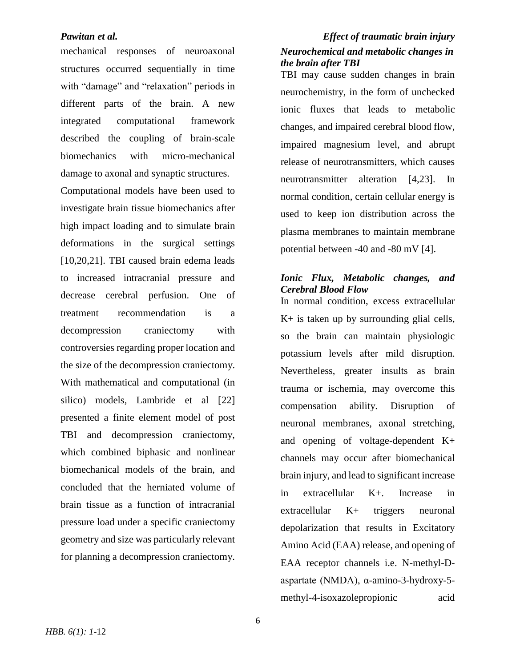mechanical responses of neuroaxonal structures occurred sequentially in time with "damage" and "relaxation" periods in different parts of the brain. A new integrated computational framework described the coupling of brain-scale biomechanics with micro-mechanical damage to axonal and synaptic structures.

Computational models have been used to investigate brain tissue biomechanics after high impact loading and to simulate brain deformations in the surgical settings [10,20,21]. TBI caused brain edema leads to increased intracranial pressure and decrease cerebral perfusion. One of treatment recommendation is a decompression craniectomy with controversies regarding proper location and the size of the decompression craniectomy. With mathematical and computational (in silico) models, Lambride et al [22] presented a finite element model of post TBI and decompression craniectomy, which combined biphasic and nonlinear biomechanical models of the brain, and concluded that the herniated volume of brain tissue as a function of intracranial pressure load under a specific craniectomy geometry and size was particularly relevant for planning a decompression craniectomy.

# *Pawitan et al. Effect of traumatic brain injury Neurochemical and metabolic changes in the brain after TBI*

TBI may cause sudden changes in brain neurochemistry, in the form of unchecked ionic fluxes that leads to metabolic changes, and impaired cerebral blood flow, impaired magnesium level, and abrupt release of neurotransmitters, which causes neurotransmitter alteration [4,23]. In normal condition, certain cellular energy is used to keep ion distribution across the plasma membranes to maintain membrane potential between -40 and -80 mV [4].

### *Ionic Flux, Metabolic changes, and Cerebral Blood Flow* In normal condition, excess extracellular

 $K<sup>+</sup>$  is taken up by surrounding glial cells, so the brain can maintain physiologic potassium levels after mild disruption. Nevertheless, greater insults as brain trauma or ischemia, may overcome this compensation ability. Disruption of neuronal membranes, axonal stretching, and opening of voltage-dependent K+ channels may occur after biomechanical brain injury, and lead to significant increase in extracellular K+. Increase in extracellular K+ triggers neuronal depolarization that results in Excitatory Amino Acid (EAA) release, and opening of EAA receptor channels i.e. N-methyl-Daspartate (NMDA), α-amino-3-hydroxy-5 methyl-4-isoxazolepropionic acid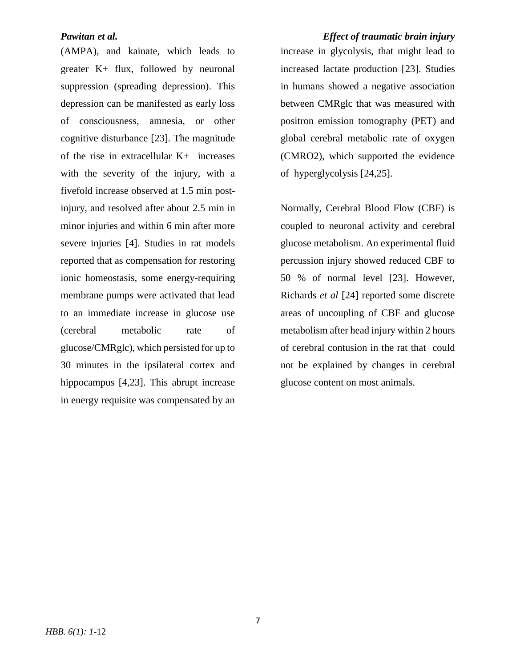(AMPA), and kainate, which leads to greater K+ flux, followed by neuronal suppression (spreading depression). This depression can be manifested as early loss of consciousness, amnesia, or other cognitive disturbance [23]. The magnitude of the rise in extracellular K+ increases with the severity of the injury, with a fivefold increase observed at 1.5 min postinjury, and resolved after about 2.5 min in minor injuries and within 6 min after more severe injuries [4]. Studies in rat models reported that as compensation for restoring ionic homeostasis, some energy-requiring membrane pumps were activated that lead to an immediate increase in glucose use (cerebral metabolic rate of glucose/CMRglc), which persisted for up to 30 minutes in the ipsilateral cortex and hippocampus [4,23]. This abrupt increase in energy requisite was compensated by an

*Pawitan et al. Effect of traumatic brain injury* increase in glycolysis, that might lead to increased lactate production [23]. Studies in humans showed a negative association between CMRglc that was measured with positron emission tomography (PET) and global cerebral metabolic rate of oxygen (CMRO2), which supported the evidence of hyperglycolysis [24,25].

> Normally, Cerebral Blood Flow (CBF) is coupled to neuronal activity and cerebral glucose metabolism. An experimental fluid percussion injury showed reduced CBF to 50 % of normal level [23]. However, Richards *et al* [24] reported some discrete areas of uncoupling of CBF and glucose metabolism after head injury within 2 hours of cerebral contusion in the rat that could not be explained by changes in cerebral glucose content on most animals.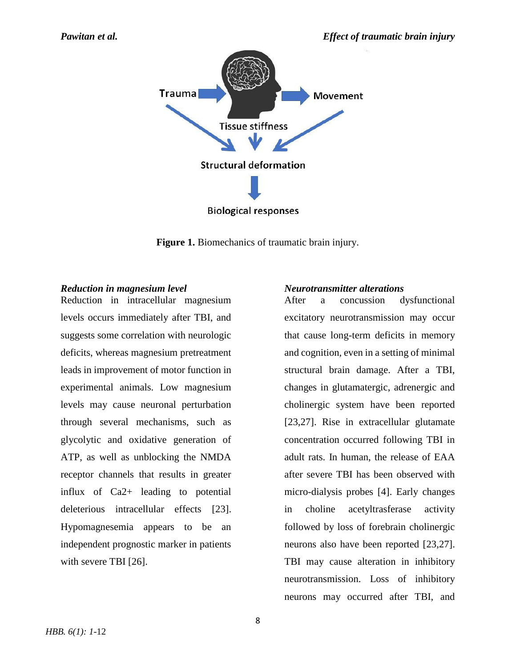

**Figure 1.** Biomechanics of traumatic brain injury.

### *Reduction in magnesium level*

Reduction in intracellular magnesium levels occurs immediately after TBI, and suggests some correlation with neurologic deficits, whereas magnesium pretreatment leads in improvement of motor function in experimental animals. Low magnesium levels may cause neuronal perturbation through several mechanisms, such as glycolytic and oxidative generation of ATP, as well as unblocking the NMDA receptor channels that results in greater influx of Ca2+ leading to potential deleterious intracellular effects [23]. Hypomagnesemia appears to be an independent prognostic marker in patients with severe TBI [26].

### *Neurotransmitter alterations*

After a concussion dysfunctional excitatory neurotransmission may occur that cause long-term deficits in memory and cognition, even in a setting of minimal structural brain damage. After a TBI, changes in glutamatergic, adrenergic and cholinergic system have been reported [23,27]. Rise in extracellular glutamate concentration occurred following TBI in adult rats. In human, the release of EAA after severe TBI has been observed with micro-dialysis probes [4]. Early changes in choline acetyltrasferase activity followed by loss of forebrain cholinergic neurons also have been reported [23,27]. TBI may cause alteration in inhibitory neurotransmission. Loss of inhibitory neurons may occurred after TBI, and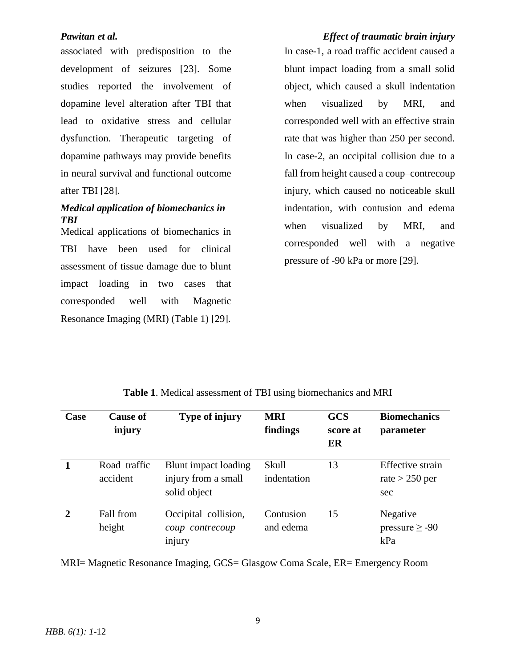associated with predisposition to the development of seizures [23]. Some studies reported the involvement of dopamine level alteration after TBI that lead to oxidative stress and cellular dysfunction. Therapeutic targeting of dopamine pathways may provide benefits in neural survival and functional outcome after TBI [28].

## *Medical application of biomechanics in TBI*

Medical applications of biomechanics in TBI have been used for clinical assessment of tissue damage due to blunt impact loading in two cases that corresponded well with Magnetic Resonance Imaging (MRI) (Table 1) [29].

# *Pawitan et al. Effect of traumatic brain injury* In case-1, a road traffic accident caused a blunt impact loading from a small solid object, which caused a skull indentation when visualized by MRI, and corresponded well with an effective strain rate that was higher than 250 per second. In case-2, an occipital collision due to a fall from height caused a coup–contrecoup injury, which caused no noticeable skull indentation, with contusion and edema when visualized by MRI, and corresponded well with a negative pressure of -90 kPa or more [29].

| Case         | <b>Cause of</b><br>injury | <b>Type of injury</b>                                       | <b>MRI</b><br>findings | <b>GCS</b><br>score at<br>ER | <b>Biomechanics</b><br>parameter            |
|--------------|---------------------------|-------------------------------------------------------------|------------------------|------------------------------|---------------------------------------------|
|              | Road traffic<br>accident  | Blunt impact loading<br>injury from a small<br>solid object | Skull<br>indentation   | 13                           | Effective strain<br>rate $>$ 250 per<br>sec |
| $\mathbf{2}$ | Fall from<br>height       | Occipital collision,<br>coup-contrecoup<br>injury           | Contusion<br>and edema | 15                           | Negative<br>pressure $\geq$ -90<br>kPa      |

MRI= Magnetic Resonance Imaging, GCS= Glasgow Coma Scale, ER= Emergency Room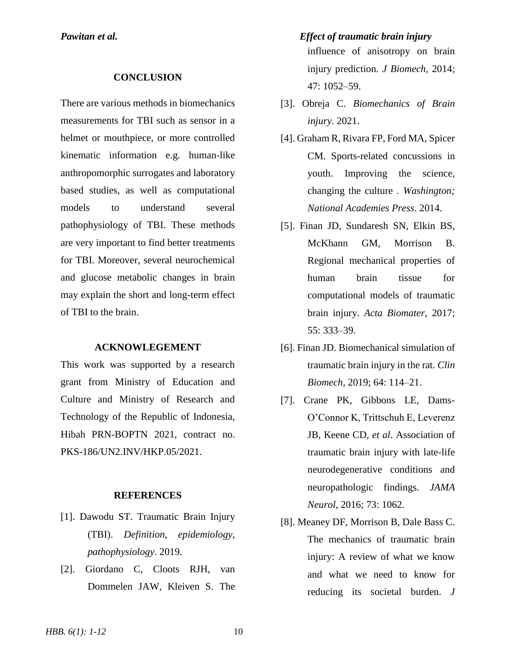### **CONCLUSION**

There are various methods in biomechanics measurements for TBI such as sensor in a helmet or mouthpiece, or more controlled kinematic information e.g. human-like anthropomorphic surrogates and laboratory based studies, as well as computational models to understand several pathophysiology of TBI. These methods are very important to find better treatments for TBI. Moreover, several neurochemical and glucose metabolic changes in brain may explain the short and long-term effect of TBI to the brain.

#### **ACKNOWLEGEMENT**

This work was supported by a research grant from Ministry of Education and Culture and Ministry of Research and Technology of the Republic of Indonesia, Hibah PRN-BOPTN 2021, contract no. PKS-186/UN2.INV/HKP.05/2021.

### **REFERENCES**

- [1]. Dawodu ST. Traumatic Brain Injury (TBI). *Definition, epidemiology, pathophysiology*. 2019.
- [2]. Giordano C, Cloots RJH, van Dommelen JAW, Kleiven S. The

*Pawitan et al. Effect of traumatic brain injury* influence of anisotropy on brain injury prediction. *J Biomech,* 2014; 47: 1052–59.

- [3]. Obreja C. *Biomechanics of Brain injury.* 2021.
- [4]. Graham R, Rivara FP, Ford MA, Spicer CM. Sports-related concussions in youth. Improving the science, changing the culture *. Washington; National Academies Press*. 2014.
- [5]. Finan JD, Sundaresh SN, Elkin BS, McKhann GM, Morrison B. Regional mechanical properties of human brain tissue for computational models of traumatic brain injury. *Acta Biomater*, 2017; 55: 333–39.
- [6]. Finan JD. Biomechanical simulation of traumatic brain injury in the rat. *Clin Biomech,* 2019; 64: 114–21.
- [7]. Crane PK, Gibbons LE, Dams-O'Connor K, Trittschuh E, Leverenz JB, Keene CD*, et al*. Association of traumatic brain injury with late-life neurodegenerative conditions and neuropathologic findings. *JAMA Neurol,* 2016; 73: 1062.
- [8]. Meaney DF, Morrison B, Dale Bass C. The mechanics of traumatic brain injury: A review of what we know and what we need to know for reducing its societal burden. *J*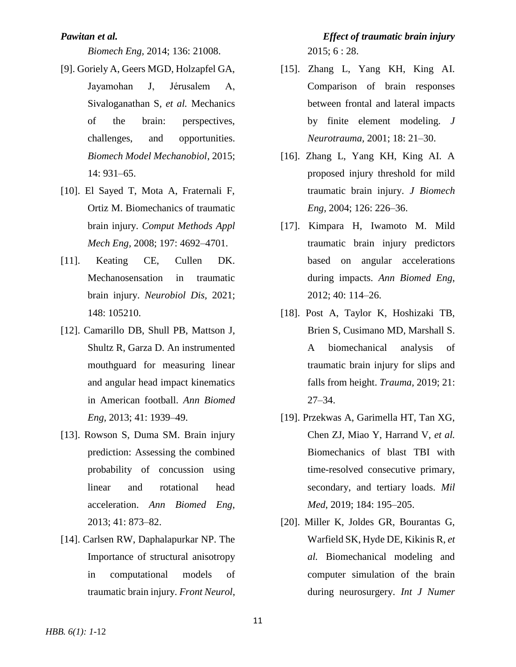*Biomech Eng,* 2014; 136: 21008.

- [9]. Goriely A, Geers MGD, Holzapfel GA, Jayamohan J, Jérusalem A, Sivaloganathan S*, et al.* Mechanics of the brain: perspectives, challenges, and opportunities. *Biomech Model Mechanobiol*, 2015; 14: 931–65.
- [10]. El Sayed T, Mota A, Fraternali F, Ortiz M. Biomechanics of traumatic brain injury. *Comput Methods Appl Mech Eng,* 2008; 197: 4692–4701.
- [11]. Keating CE, Cullen DK. Mechanosensation in traumatic brain injury. *Neurobiol Dis,* 2021; 148: 105210.
- [12]. Camarillo DB, Shull PB, Mattson J, Shultz R, Garza D. An instrumented mouthguard for measuring linear and angular head impact kinematics in American football. *Ann Biomed Eng,* 2013; 41: 1939–49.
- [13]. Rowson S, Duma SM. Brain injury prediction: Assessing the combined probability of concussion using linear and rotational head acceleration. *Ann Biomed Eng*, 2013; 41: 873–82.
- [14]. Carlsen RW, Daphalapurkar NP. The Importance of structural anisotropy in computational models of traumatic brain injury. *Front Neurol*,

# *Pawitan et al. Effect of traumatic brain injury* 2015; 6 : 28.

- [15]. Zhang L, Yang KH, King AI. Comparison of brain responses between frontal and lateral impacts by finite element modeling. *J Neurotrauma,* 2001; 18: 21–30.
- [16]. Zhang L, Yang KH, King AI. A proposed injury threshold for mild traumatic brain injury. *J Biomech Eng,* 2004; 126: 226–36.
- [17]. Kimpara H, Iwamoto M. Mild traumatic brain injury predictors based on angular accelerations during impacts. *Ann Biomed Eng*, 2012; 40: 114–26.
- [18]. Post A, Taylor K, Hoshizaki TB, Brien S, Cusimano MD, Marshall S. A biomechanical analysis of traumatic brain injury for slips and falls from height. *Trauma,* 2019; 21: 27–34.
- [19]. Przekwas A, Garimella HT, Tan XG, Chen ZJ, Miao Y, Harrand V, *et al.* Biomechanics of blast TBI with time-resolved consecutive primary, secondary, and tertiary loads. *Mil Med*, 2019; 184: 195–205.
- [20]. Miller K, Joldes GR, Bourantas G, Warfield SK, Hyde DE, Kikinis R, *et al.* Biomechanical modeling and computer simulation of the brain during neurosurgery. *Int J Numer*